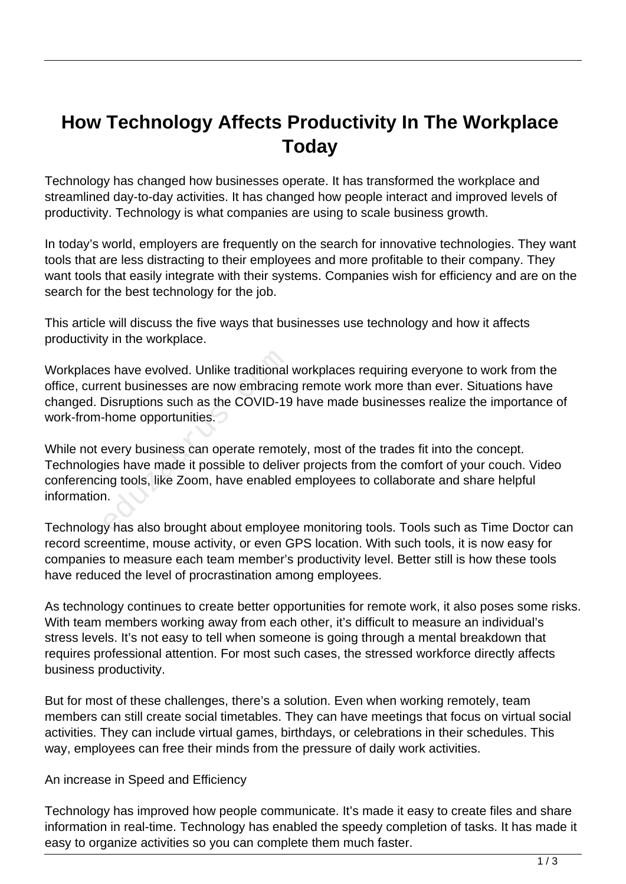## **How Technology Affects Productivity In The Workplace Today**

Technology has changed how businesses operate. It has transformed the workplace and streamlined day-to-day activities. It has changed how people interact and improved levels of productivity. Technology is what companies are using to scale business growth.

In today's world, employers are frequently on the search for innovative technologies. They want tools that are less distracting to their employees and more profitable to their company. They want tools that easily integrate with their systems. Companies wish for efficiency and are on the search for the best technology for the job.

This article will discuss the five ways that businesses use technology and how it affects productivity in the workplace.

Workplaces have evolved. Unlike traditional workplaces requiring everyone to work from the office, current businesses are now embracing remote work more than ever. Situations have changed. Disruptions such as the COVID-19 have made businesses realize the importance of work-from-home opportunities.

While not every business can operate remotely, most of the trades fit into the concept. Technologies have made it possible to deliver projects from the comfort of your couch. Video conferencing tools, like Zoom, have enabled employees to collaborate and share helpful information. Solution also have evolved. Unlike traditional<br>
Learn businesses are now embracin<br>
Disruptions such as the COVID-19<br>
- home opportunities.<br>
Severy business can operate remot<br>
ies have made it possible to delive<br>
In the Zoo

Technology has also brought about employee monitoring tools. Tools such as Time Doctor can record screentime, mouse activity, or even GPS location. With such tools, it is now easy for companies to measure each team member's productivity level. Better still is how these tools have reduced the level of procrastination among employees.

As technology continues to create better opportunities for remote work, it also poses some risks. With team members working away from each other, it's difficult to measure an individual's stress levels. It's not easy to tell when someone is going through a mental breakdown that requires professional attention. For most such cases, the stressed workforce directly affects business productivity.

But for most of these challenges, there's a solution. Even when working remotely, team members can still create social timetables. They can have meetings that focus on virtual social activities. They can include virtual games, birthdays, or celebrations in their schedules. This way, employees can free their minds from the pressure of daily work activities.

## An increase in Speed and Efficiency

Technology has improved how people communicate. It's made it easy to create files and share information in real-time. Technology has enabled the speedy completion of tasks. It has made it easy to organize activities so you can complete them much faster.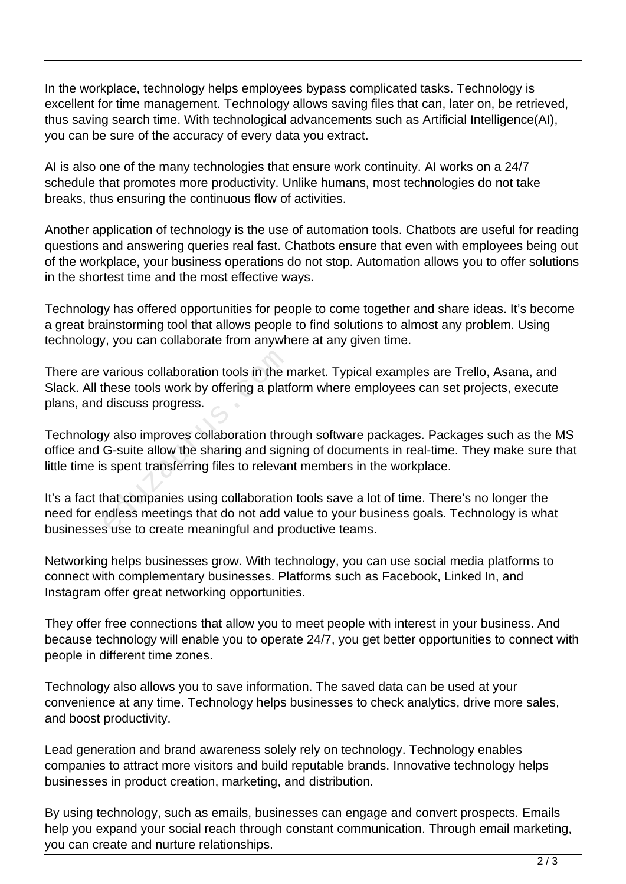In the workplace, technology helps employees bypass complicated tasks. Technology is excellent for time management. Technology allows saving files that can, later on, be retrieved, thus saving search time. With technological advancements such as Artificial Intelligence(AI), you can be sure of the accuracy of every data you extract.

AI is also one of the many technologies that ensure work continuity. AI works on a 24/7 schedule that promotes more productivity. Unlike humans, most technologies do not take breaks, thus ensuring the continuous flow of activities.

Another application of technology is the use of automation tools. Chatbots are useful for reading questions and answering queries real fast. Chatbots ensure that even with employees being out of the workplace, your business operations do not stop. Automation allows you to offer solutions in the shortest time and the most effective ways.

Technology has offered opportunities for people to come together and share ideas. It's become a great brainstorming tool that allows people to find solutions to almost any problem. Using technology, you can collaborate from anywhere at any given time.

There are various collaboration tools in the market. Typical examples are Trello, Asana, and Slack. All these tools work by offering a platform where employees can set projects, execute plans, and discuss progress. various collaboration tools in the r<br>hese tools work by offering a platf<br>discuss progress.<br>y also improves collaboration thro<br>G-suite allow the sharing and sign<br>s spent transferring files to relevar<br>hat companies using col

Technology also improves collaboration through software packages. Packages such as the MS office and G-suite allow the sharing and signing of documents in real-time. They make sure that little time is spent transferring files to relevant members in the workplace.

It's a fact that companies using collaboration tools save a lot of time. There's no longer the need for endless meetings that do not add value to your business goals. Technology is what businesses use to create meaningful and productive teams.

Networking helps businesses grow. With technology, you can use social media platforms to connect with complementary businesses. Platforms such as Facebook, Linked In, and Instagram offer great networking opportunities.

They offer free connections that allow you to meet people with interest in your business. And because technology will enable you to operate 24/7, you get better opportunities to connect with people in different time zones.

Technology also allows you to save information. The saved data can be used at your convenience at any time. Technology helps businesses to check analytics, drive more sales, and boost productivity.

Lead generation and brand awareness solely rely on technology. Technology enables companies to attract more visitors and build reputable brands. Innovative technology helps businesses in product creation, marketing, and distribution.

By using technology, such as emails, businesses can engage and convert prospects. Emails help you expand your social reach through constant communication. Through email marketing, you can create and nurture relationships.